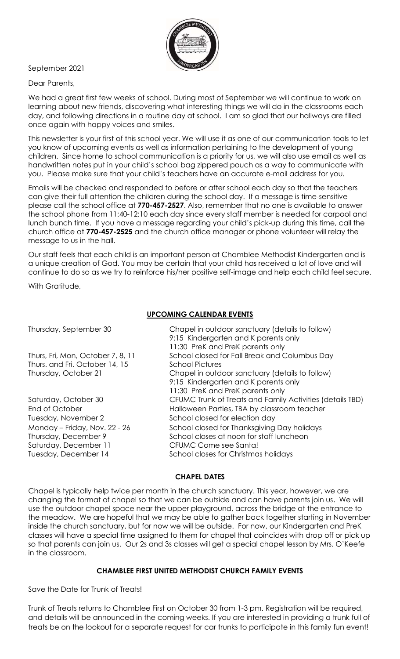

### September 2021

### Dear Parents,

We had a great first few weeks of school. During most of September we will continue to work on learning about new friends, discovering what interesting things we will do in the classrooms each day, and following directions in a routine day at school. I am so glad that our hallways are filled once again with happy voices and smiles.

This newsletter is your first of this school year. We will use it as one of our communication tools to let you know of upcoming events as well as information pertaining to the development of young children. Since home to school communication is a priority for us, we will also use email as well as handwritten notes put in your child's school bag zippered pouch as a way to communicate with you. Please make sure that your child's teachers have an accurate e-mail address for you.

Emails will be checked and responded to before or after school each day so that the teachers can give their full attention the children during the school day. If a message is time-sensitive please call the school office at **770-457-2527**. Also, remember that no one is available to answer the school phone from 11:40-12:10 each day since every staff member is needed for carpool and lunch bunch time. If you have a message regarding your child's pick-up during this time, call the church office at **770-457-2525** and the church office manager or phone volunteer will relay the message to us in the hall.

Our staff feels that each child is an important person at Chamblee Methodist Kindergarten and is a unique creation of God. You may be certain that your child has received a lot of love and will continue to do so as we try to reinforce his/her positive self-image and help each child feel secure.

With Gratitude,

# **UPCOMING CALENDAR EVENTS**

| Chapel in outdoor sanctuary (details to follow)           |
|-----------------------------------------------------------|
| 9:15 Kindergarten and K parents only                      |
| 11:30 PreK and PreK parents only                          |
| School closed for Fall Break and Columbus Day             |
| <b>School Pictures</b>                                    |
| Chapel in outdoor sanctuary (details to follow)           |
| 9:15 Kindergarten and K parents only                      |
| 11:30 PreK and PreK parents only                          |
| CFUMC Trunk of Treats and Family Activities (details TBD) |
| Halloween Parties, TBA by classroom teacher               |
| School closed for election day                            |
| School closed for Thanksgiving Day holidays               |
| School closes at noon for staff luncheon                  |
| CFUMC Come see Santa!                                     |
| School closes for Christmas holidays                      |
|                                                           |

#### **CHAPEL DATES**

Chapel is typically help twice per month in the church sanctuary. This year, however, we are changing the format of chapel so that we can be outside and can have parents join us. We will use the outdoor chapel space near the upper playground, across the bridge at the entrance to the meadow. We are hopeful that we may be able to gather back together starting in November inside the church sanctuary, but for now we will be outside. For now, our Kindergarten and PreK classes will have a special time assigned to them for chapel that coincides with drop off or pick up so that parents can join us. Our 2s and 3s classes will get a special chapel lesson by Mrs. O'Keefe in the classroom.

### **CHAMBLEE FIRST UNITED METHODIST CHURCH FAMILY EVENTS**

Save the Date for Trunk of Treats!

Trunk of Treats returns to Chamblee First on October 30 from 1-3 pm. Registration will be required, and details will be announced in the coming weeks. If you are interested in providing a trunk full of treats be on the lookout for a separate request for car trunks to participate in this family fun event!